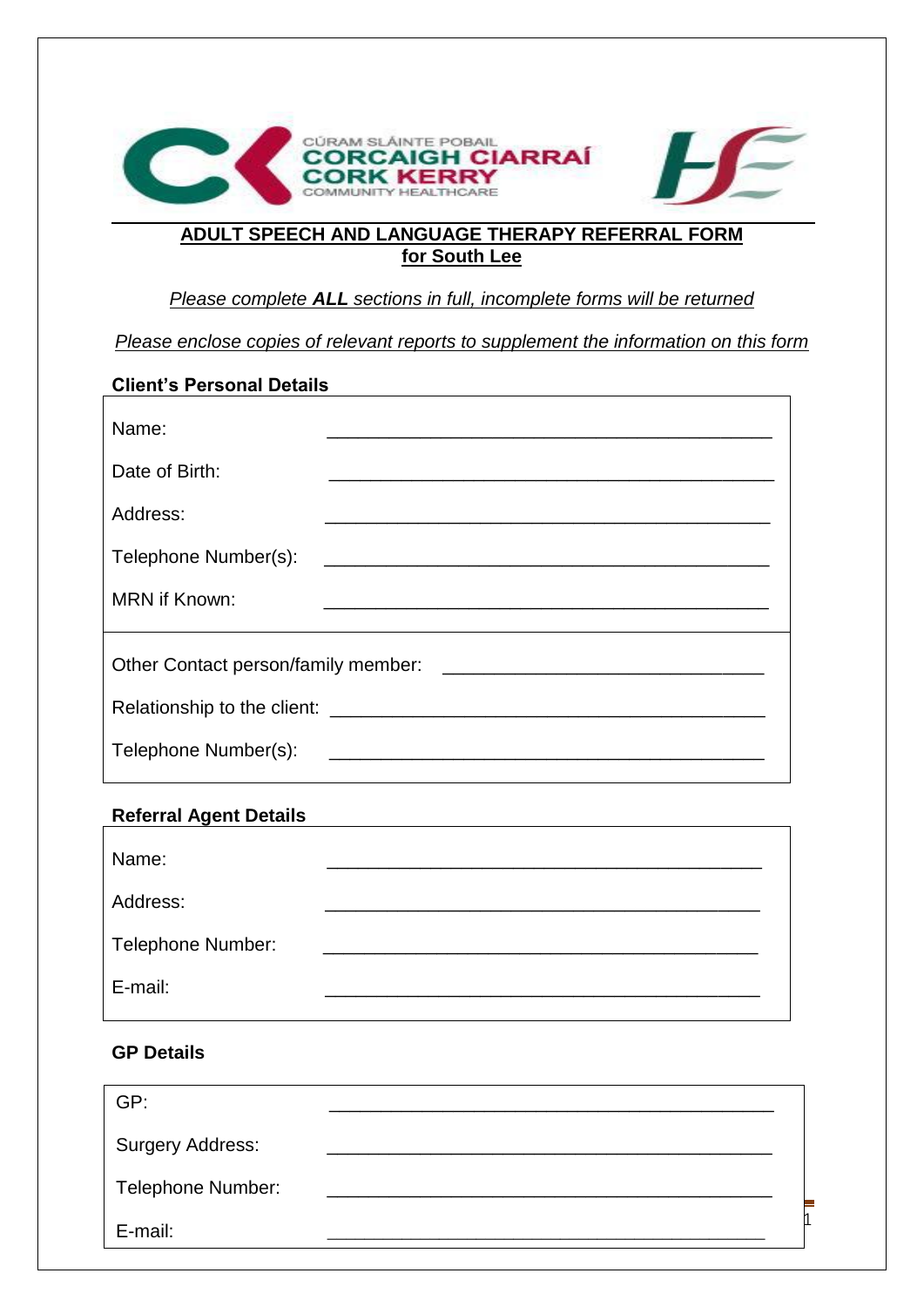

# **ADULT SPEECH AND LANGUAGE THERAPY REFERRAL FORM for South Lee**

# *Please complete ALL sections in full, incomplete forms will be returned*

*Please enclose copies of relevant reports to supplement the information on this form*

#### **Client's Personal Details**

| Name:                                                                                  | <u> 1989 - Andrea State Barbara, amerikan bahasa di sebagai persebut dan berasal dan berasal dan berasal dan bera</u> |  |
|----------------------------------------------------------------------------------------|-----------------------------------------------------------------------------------------------------------------------|--|
| Date of Birth:                                                                         | <u> 1989 - Johann John Stone, mars eta biztanleria (h. 1989).</u>                                                     |  |
| Address:                                                                               |                                                                                                                       |  |
| Telephone Number(s):                                                                   |                                                                                                                       |  |
| <b>MRN</b> if Known:                                                                   |                                                                                                                       |  |
|                                                                                        |                                                                                                                       |  |
|                                                                                        |                                                                                                                       |  |
| Telephone Number(s):<br><u> 1989 - Johann Stein, marking and de Brazilia (b. 1989)</u> |                                                                                                                       |  |

### **Referral Agent Details**

| Name:             |  |
|-------------------|--|
| Address:          |  |
| Telephone Number: |  |
| E-mail:           |  |

### **GP Details**

| GP:                     |  |
|-------------------------|--|
| <b>Surgery Address:</b> |  |
| Telephone Number:       |  |
| E-mail:                 |  |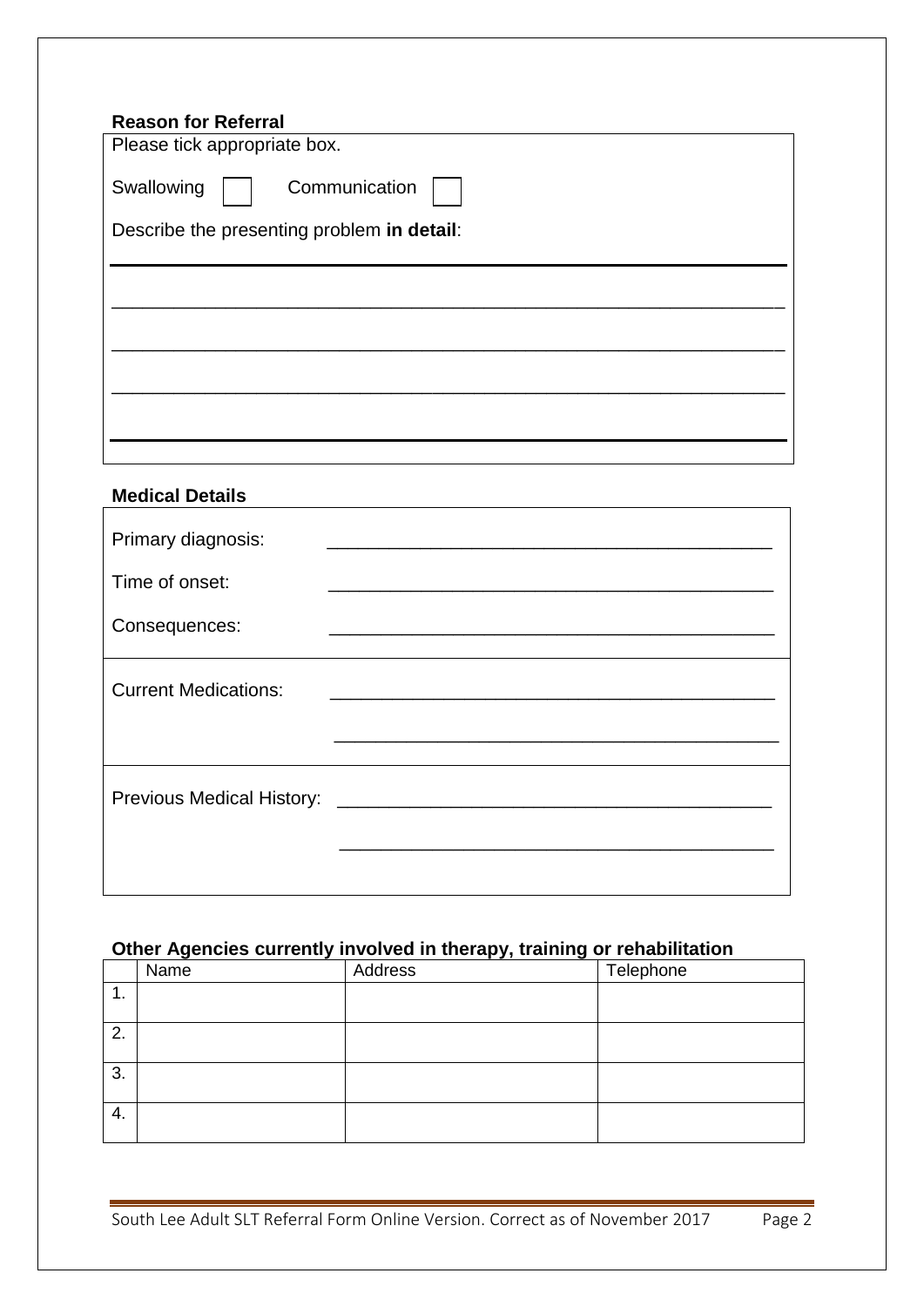# **Medical Details**

| Primary diagnosis:               |                                                                                           |  |
|----------------------------------|-------------------------------------------------------------------------------------------|--|
| Time of onset:                   | the control of the control of the control of the control of the control of                |  |
| Consequences:                    |                                                                                           |  |
| <b>Current Medications:</b>      |                                                                                           |  |
|                                  |                                                                                           |  |
| <b>Previous Medical History:</b> | <u> 1980 - Jan Barbarat, martin da shekara tshirin 1980 - Amerikan Shekarat, mashrida</u> |  |
|                                  |                                                                                           |  |

# **Other Agencies currently involved in therapy, training or rehabilitation**

|    | -<br>- | .<br>-  |           |
|----|--------|---------|-----------|
|    | Name   | Address | Telephone |
| т. |        |         |           |
|    |        |         |           |
| 2. |        |         |           |
| 3. |        |         |           |
| 4. |        |         |           |